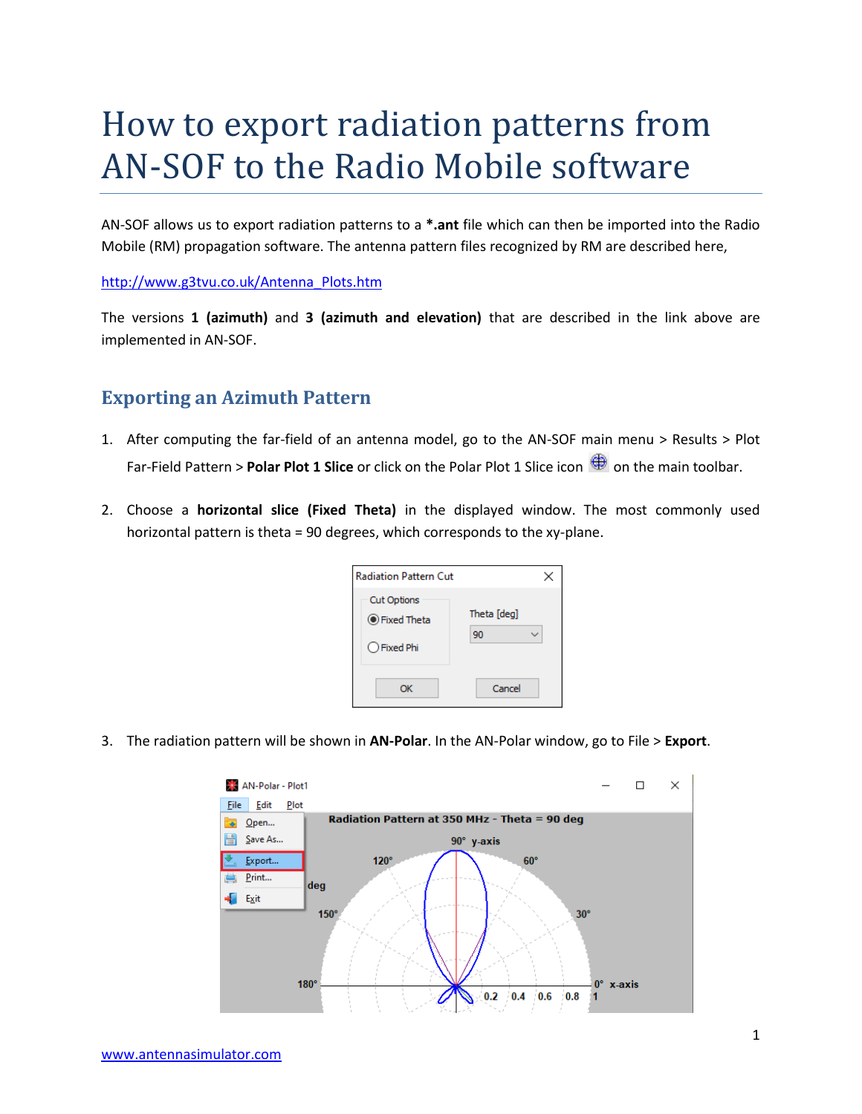## How to export radiation patterns from AN-SOF to the Radio Mobile software

AN-SOF allows us to export radiation patterns to a **\*.ant** file which can then be imported into the Radio Mobile (RM) propagation software. The antenna pattern files recognized by RM are described here,

## [http://www.g3tvu.co.uk/Antenna\\_Plots.htm](http://www.g3tvu.co.uk/Antenna_Plots.htm)

The versions **1 (azimuth)** and **3 (azimuth and elevation)** that are described in the link above are implemented in AN-SOF.

## **Exporting an Azimuth Pattern**

- 1. After computing the far-field of an antenna model, go to the AN-SOF main menu > Results > Plot Far-Field Pattern > **Polar Plot 1 Slice** or click on the Polar Plot 1 Slice icon  $\bigoplus$  on the main toolbar.
- 2. Choose a **horizontal slice (Fixed Theta)** in the displayed window. The most commonly used horizontal pattern is theta = 90 degrees, which corresponds to the xy-plane.

| <b>Radiation Pattern Cut</b> | ×                 |
|------------------------------|-------------------|
| Cut Options<br>● Fixed Theta | Theta [deg]<br>90 |
| ○ Fixed Phi                  |                   |
| ОК                           | Cancel            |

3. The radiation pattern will be shown in **AN-Polar**. In the AN-Polar window, go to File > **Export**.

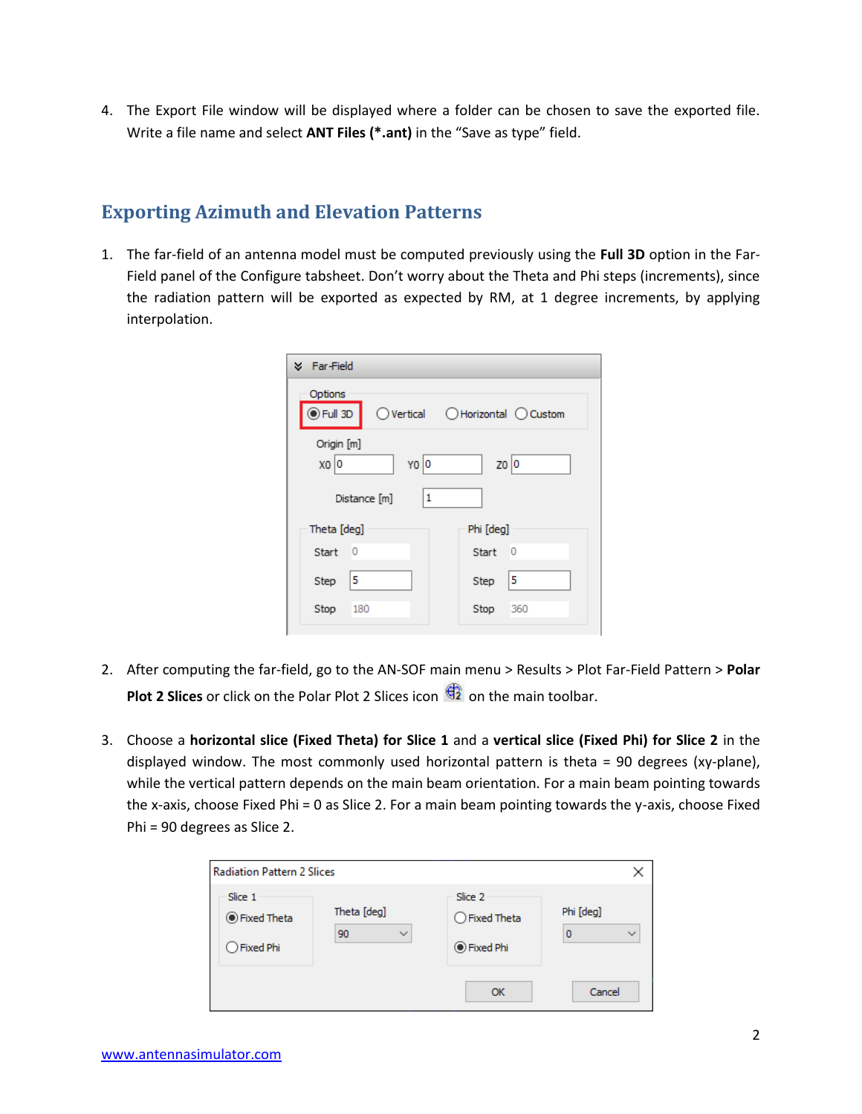4. The Export File window will be displayed where a folder can be chosen to save the exported file. Write a file name and select **ANT Files (\*.ant)** in the "Save as type" field.

## **Exporting Azimuth and Elevation Patterns**

1. The far-field of an antenna model must be computed previously using the **Full 3D** option in the Far-Field panel of the Configure tabsheet. Don't worry about the Theta and Phi steps (increments), since the radiation pattern will be exported as expected by RM, at 1 degree increments, by applying interpolation.

| <b>X</b> Far-Field                      |                                  |  |  |  |
|-----------------------------------------|----------------------------------|--|--|--|
| Options<br>$\odot$ Full 3D              | ○ Vertical ○ Horizontal ○ Custom |  |  |  |
| Origin [m]<br>YO O<br>$X0$ <sub>0</sub> | 20 0                             |  |  |  |
| 1<br>Distance [m]                       |                                  |  |  |  |
| Theta [deg]                             | Phi [deg]                        |  |  |  |
| Start<br>- 0                            | - 0<br>Start                     |  |  |  |
| 5<br>Step                               | 5<br>Step                        |  |  |  |
| Stop<br>180                             | Stop<br>360                      |  |  |  |
|                                         |                                  |  |  |  |

- 2. After computing the far-field, go to the AN-SOF main menu > Results > Plot Far-Field Pattern > **Polar Plot 2 Slices** or click on the Polar Plot 2 Slices icon  $\overrightarrow{42}$  on the main toolbar.
- 3. Choose a **horizontal slice (Fixed Theta) for Slice 1** and a **vertical slice (Fixed Phi) for Slice 2** in the displayed window. The most commonly used horizontal pattern is theta = 90 degrees (xy-plane), while the vertical pattern depends on the main beam orientation. For a main beam pointing towards the x-axis, choose Fixed Phi = 0 as Slice 2. For a main beam pointing towards the y-axis, choose Fixed Phi = 90 degrees as Slice 2.

| <b>Radiation Pattern 2 Slices</b>     |                                   |                                                  |                                |
|---------------------------------------|-----------------------------------|--------------------------------------------------|--------------------------------|
| Slice 1<br>● Fixed Theta<br>Fixed Phi | Theta [deg]<br>90<br>$\checkmark$ | Slice 2<br>$\bigcirc$ Fixed Theta<br>● Fixed Phi | Phi [deg]<br>$\checkmark$<br>0 |
|                                       |                                   | OK                                               | Cancel                         |